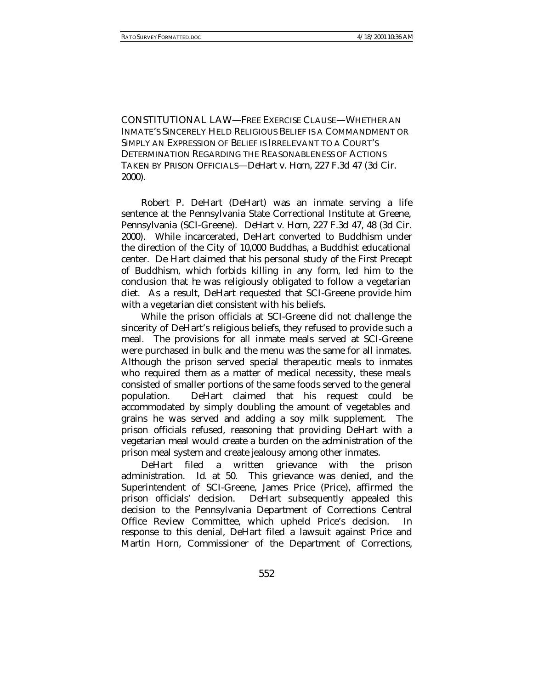CONSTITUTIONAL LAW—FREE EXERCISE CLAUSE—WHETHER AN INMATE'S SINCERELY HELD RELIGIOUS BELIEF IS A COMMANDMENT OR SIMPLY AN EXPRESSION OF BELIEF IS IRRELEVANT TO A COURT'S DETERMINATION REGARDING THE REASONABLENESS OF ACTIONS TAKEN BY PRISON OFFICIALS—*DeHart v. Horn*, 227 F.3d 47 (3d Cir. 2000).

Robert P. DeHart (DeHart) was an inmate serving a life sentence at the Pennsylvania State Correctional Institute at Greene, Pennsylvania (SCI-Greene). *DeHart v. Horn*, 227 F.3d 47, 48 (3d Cir. 2000). While incarcerated, DeHart converted to Buddhism under the direction of the City of 10,000 Buddhas, a Buddhist educational center. De Hart claimed that his personal study of the First Precept of Buddhism, which forbids killing in any form, led him to the conclusion that he was religiously obligated to follow a vegetarian diet. As a result, DeHart requested that SCI-Greene provide him with a vegetarian diet consistent with his beliefs.

While the prison officials at SCI-Greene did not challenge the sincerity of DeHart's religious beliefs, they refused to provide such a meal. The provisions for all inmate meals served at SCI-Greene were purchased in bulk and the menu was the same for all inmates. Although the prison served special therapeutic meals to inmates who required them as a matter of medical necessity, these meals consisted of smaller portions of the same foods served to the general population. DeHart claimed that his request could be accommodated by simply doubling the amount of vegetables and grains he was served and adding a soy milk supplement. The prison officials refused, reasoning that providing DeHart with a vegetarian meal would create a burden on the administration of the prison meal system and create jealousy among other inmates.

DeHart filed a written grievance with the prison administration. *Id*. at 50. This grievance was denied, and the Superintendent of SCI-Greene, James Price (Price), affirmed the prison officials' decision. DeHart subsequently appealed this decision to the Pennsylvania Department of Corrections Central Office Review Committee, which upheld Price's decision. In response to this denial, DeHart filed a lawsuit against Price and Martin Horn, Commissioner of the Department of Corrections,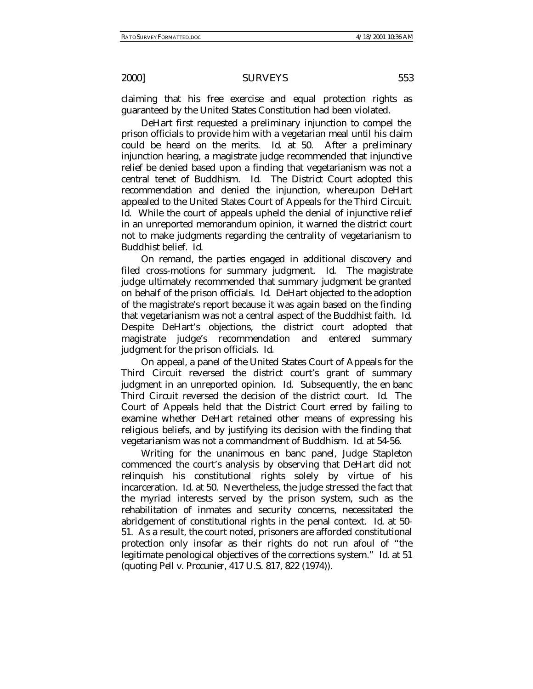claiming that his free exercise and equal protection rights as guaranteed by the United States Constitution had been violated.

DeHart first requested a preliminary injunction to compel the prison officials to provide him with a vegetarian meal until his claim could be heard on the merits. *Id*. at 50. After a preliminary injunction hearing, a magistrate judge recommended that injunctive relief be denied based upon a finding that vegetarianism was not a central tenet of Buddhism. *Id*. The District Court adopted this recommendation and denied the injunction, whereupon DeHart appealed to the United States Court of Appeals for the Third Circuit. *Id*. While the court of appeals upheld the denial of injunctive relief in an unreported memorandum opinion, it warned the district court not to make judgments regarding the centrality of vegetarianism to Buddhist belief. *Id*.

On remand, the parties engaged in additional discovery and filed cross-motions for summary judgment. *Id*. The magistrate judge ultimately recommended that summary judgment be granted on behalf of the prison officials. *Id*. DeHart objected to the adoption of the magistrate's report because it was again based on the finding that vegetarianism was not a central aspect of the Buddhist faith. *Id*. Despite DeHart's objections, the district court adopted that magistrate judge's recommendation and entered summary judgment for the prison officials. *Id*.

On appeal, a panel of the United States Court of Appeals for the Third Circuit reversed the district court's grant of summary judgment in an unreported opinion. *Id*. Subsequently, the en banc Third Circuit reversed the decision of the district court. *Id*. The Court of Appeals held that the District Court erred by failing to examine whether DeHart retained other means of expressing his religious beliefs, and by justifying its decision with the finding that vegetarianism was not a commandment of Buddhism. *Id*. at 54-56.

Writing for the unanimous en banc panel, Judge Stapleton commenced the court's analysis by observing that DeHart did not relinquish his constitutional rights solely by virtue of his incarceration. *Id*. at 50. Nevertheless, the judge stressed the fact that the myriad interests served by the prison system, such as the rehabilitation of inmates and security concerns, necessitated the abridgement of constitutional rights in the penal context. *Id*. at 50- 51. As a result, the court noted, prisoners are afforded constitutional protection only insofar as their rights do not run afoul of "the legitimate penological objectives of the corrections system." *Id*. at 51 (quoting *Pell v. Procunier*, 417 U.S. 817, 822 (1974)).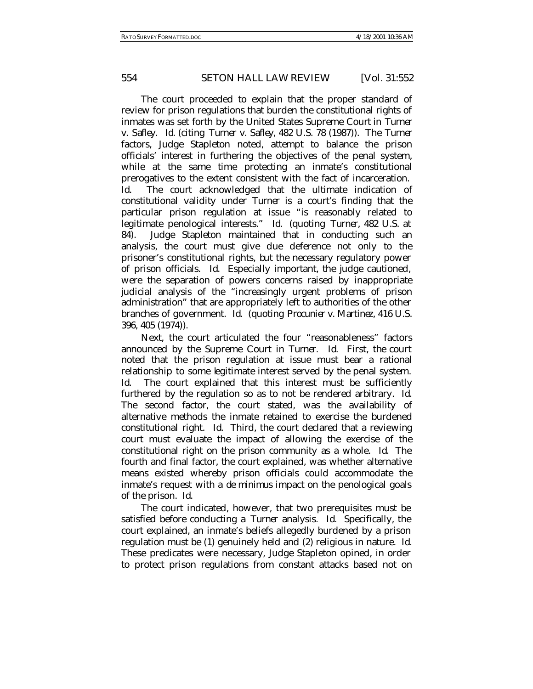## 554 *SETON HALL LAW REVIEW* [Vol. 31:552

The court proceeded to explain that the proper standard of review for prison regulations that burden the constitutional rights of inmates was set forth by the United States Supreme Court in *Turner v. Safley*. *Id*. (citing *Turner v. Safley*, 482 U.S. 78 (1987)). The *Turner* factors, Judge Stapleton noted, attempt to balance the prison officials' interest in furthering the objectives of the penal system, while at the same time protecting an inmate's constitutional prerogatives to the extent consistent with the fact of incarceration. *Id.* The court acknowledged that the ultimate indication of constitutional validity under *Turner* is a court's finding that the particular prison regulation at issue "is reasonably related to legitimate penological interests." *Id*. (quoting *Turner*, 482 U.S. at 84). Judge Stapleton maintained that in conducting such an analysis, the court must give due deference not only to the prisoner's constitutional rights, but the necessary regulatory power of prison officials. *Id.* Especially important, the judge cautioned, were the separation of powers concerns raised by inappropriate judicial analysis of the "increasingly urgent problems of prison administration" that are appropriately left to authorities of the other branches of government. *Id*. (quoting *Procunier v. Martinez*, 416 U.S. 396, 405 (1974)).

Next, the court articulated the four "reasonableness" factors announced by the Supreme Court in *Turner*. *Id*. First, the court noted that the prison regulation at issue must bear a rational relationship to some legitimate interest served by the penal system. *Id.* The court explained that this interest must be sufficiently furthered by the regulation so as to not be rendered arbitrary. *Id*. The second factor, the court stated, was the availability of alternative methods the inmate retained to exercise the burdened constitutional right. *Id*. Third, the court declared that a reviewing court must evaluate the impact of allowing the exercise of the constitutional right on the prison community as a whole. *Id*. The fourth and final factor, the court explained, was whether alternative means existed whereby prison officials could accommodate the inmate's request with a *de minimus* impact on the penological goals of the prison. *Id.*

The court indicated, however, that two prerequisites must be satisfied before conducting a *Turner* analysis. *Id*. Specifically, the court explained, an inmate's beliefs allegedly burdened by a prison regulation must be (1) genuinely held and (2) religious in nature. *Id*. These predicates were necessary, Judge Stapleton opined, in order to protect prison regulations from constant attacks based not on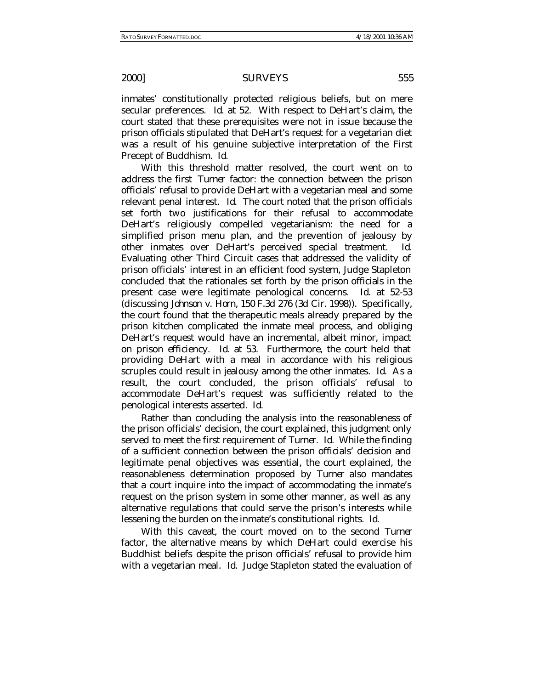inmates' constitutionally protected religious beliefs, but on mere secular preferences. *Id*. at 52. With respect to DeHart's claim, the court stated that these prerequisites were not in issue because the prison officials stipulated that DeHart's request for a vegetarian diet was a result of his genuine subjective interpretation of the First Precept of Buddhism. *Id*.

With this threshold matter resolved, the court went on to address the first *Turner* factor: the connection between the prison officials' refusal to provide DeHart with a vegetarian meal and some relevant penal interest. *Id*. The court noted that the prison officials set forth two justifications for their refusal to accommodate DeHart's religiously compelled vegetarianism: the need for a simplified prison menu plan, and the prevention of jealousy by other inmates over DeHart's perceived special treatment. *Id*. Evaluating other Third Circuit cases that addressed the validity of prison officials' interest in an efficient food system, Judge Stapleton concluded that the rationales set forth by the prison officials in the present case were legitimate penological concerns. *Id*. at 52-53 (discussing *Johnson v. Horn*, 150 F.3d 276 (3d Cir. 1998)). Specifically, the court found that the therapeutic meals already prepared by the prison kitchen complicated the inmate meal process, and obliging DeHart's request would have an incremental, albeit minor, impact on prison efficiency. *Id*. at 53. Furthermore, the court held that providing DeHart with a meal in accordance with his religious scruples could result in jealousy among the other inmates. *Id*. As a result, the court concluded, the prison officials' refusal to accommodate DeHart's request was sufficiently related to the penological interests asserted. *Id*.

Rather than concluding the analysis into the reasonableness of the prison officials' decision, the court explained, this judgment only served to meet the first requirement of *Turner*. *Id*. While the finding of a sufficient connection between the prison officials' decision and legitimate penal objectives was essential, the court explained, the reasonableness determination proposed by *Turner* also mandates that a court inquire into the impact of accommodating the inmate's request on the prison system in some other manner, as well as any alternative regulations that could serve the prison's interests while lessening the burden on the inmate's constitutional rights. *Id*.

With this caveat, the court moved on to the second *Turner* factor, the alternative means by which DeHart could exercise his Buddhist beliefs despite the prison officials' refusal to provide him with a vegetarian meal. *Id*. Judge Stapleton stated the evaluation of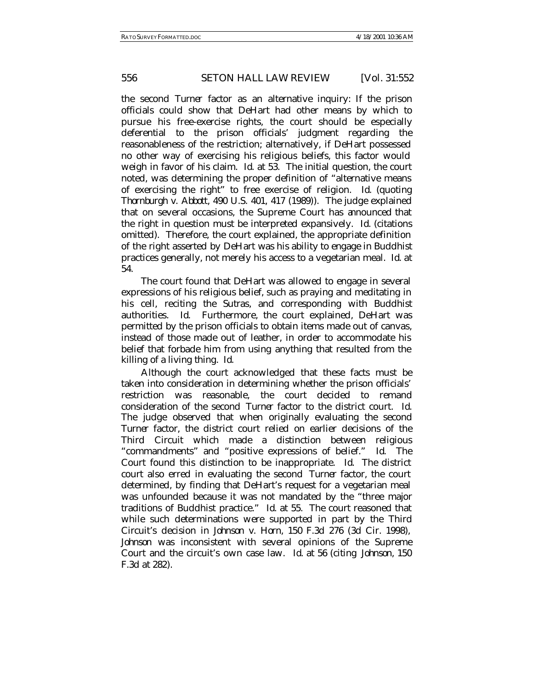# 556 *SETON HALL LAW REVIEW* [Vol. 31:552

the second *Turner* factor as an alternative inquiry: If the prison officials could show that DeHart had other means by which to pursue his free-exercise rights, the court should be especially deferential to the prison officials' judgment regarding the reasonableness of the restriction; alternatively, if DeHart possessed no other way of exercising his religious beliefs, this factor would weigh in favor of his claim. *Id*. at 53. The initial question, the court noted, was determining the proper definition of "alternative means of exercising the right" to free exercise of religion. *Id*. (quoting *Thornburgh v. Abbott*, 490 U.S. 401, 417 (1989)). The judge explained that on several occasions, the Supreme Court has announced that the right in question must be interpreted expansively. *Id.* (citations omitted). Therefore, the court explained, the appropriate definition of the right asserted by DeHart was his ability to engage in Buddhist practices generally, not merely his access to a vegetarian meal. *Id*. at 54.

The court found that DeHart was allowed to engage in several expressions of his religious belief, such as praying and meditating in his cell, reciting the Sutras, and corresponding with Buddhist authorities. *Id*. Furthermore, the court explained, DeHart was permitted by the prison officials to obtain items made out of canvas, instead of those made out of leather, in order to accommodate his belief that forbade him from using anything that resulted from the killing of a living thing. *Id*.

Although the court acknowledged that these facts must be taken into consideration in determining whether the prison officials' restriction was reasonable, the court decided to remand consideration of the second *Turner* factor to the district court. *Id*. The judge observed that when originally evaluating the second *Turner* factor, the district court relied on earlier decisions of the Third Circuit which made a distinction between religious "commandments" and "positive expressions of belief." *Id*. The Court found this distinction to be inappropriate. *Id*. The district court also erred in evaluating the second *Turner* factor, the court determined, by finding that DeHart's request for a vegetarian meal was unfounded because it was not mandated by the "three major traditions of Buddhist practice." *Id*. at 55. The court reasoned that while such determinations were supported in part by the Third Circuit's decision in *Johnson v. Horn*, 150 F.3d 276 (3d Cir. 1998), *Johnson* was inconsistent with several opinions of the Supreme Court and the circuit's own case law. *Id*. at 56 (citing *Johnson*, 150 F.3d at 282).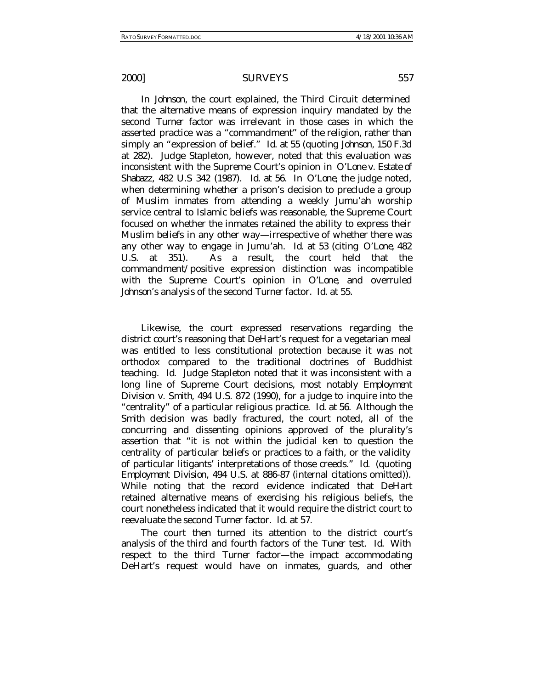In *Johnson*, the court explained, the Third Circuit determined that the alternative means of expression inquiry mandated by the second *Turner* factor was irrelevant in those cases in which the asserted practice was a "commandment" of the religion, rather than simply an "expression of belief." *Id*. at 55 (quoting *Johnson*, 150 F.3d at 282). Judge Stapleton, however, noted that this evaluation was inconsistent with the Supreme Court's opinion in *O'Lone v. Estate of Shabazz*, 482 U.S 342 (1987). *Id*. at 56. In *O'Lone*, the judge noted, when determining whether a prison's decision to preclude a group of Muslim inmates from attending a weekly Jumu'ah worship service central to Islamic beliefs was reasonable, the Supreme Court focused on whether the inmates retained the ability to express their Muslim beliefs in any other way—irrespective of whether there was any other way to engage in Jumu'ah. *Id*. at 53 (citing *O'Lone*, 482 U.S. at 351). As a result, the court held that the commandment/positive expression distinction was incompatible with the Supreme Court's opinion in *O'Lone*, and overruled *Johnson*'s analysis of the second *Turner* factor. *Id*. at 55.

Likewise, the court expressed reservations regarding the district court's reasoning that DeHart's request for a vegetarian meal was entitled to less constitutional protection because it was not orthodox compared to the traditional doctrines of Buddhist teaching. *Id*. Judge Stapleton noted that it was inconsistent with a long line of Supreme Court decisions, most notably *Employment Division v. Smith*, 494 U.S. 872 (1990), for a judge to inquire into the "centrality" of a particular religious practice. *Id*. at 56. Although the *Smith* decision was badly fractured, the court noted, all of the concurring and dissenting opinions approved of the plurality's assertion that "it is not within the judicial ken to question the centrality of particular beliefs or practices to a faith, or the validity of particular litigants' interpretations of those creeds." *Id*. (quoting *Employment Division*, 494 U.S. at 886-87 (internal citations omitted)). While noting that the record evidence indicated that DeHart retained alternative means of exercising his religious beliefs, the court nonetheless indicated that it would require the district court to reevaluate the second *Turner* factor. *Id*. at 57.

The court then turned its attention to the district court's analysis of the third and fourth factors of the *Tuner* test. *Id*. With respect to the third *Turner* factor—the impact accommodating DeHart's request would have on inmates, guards, and other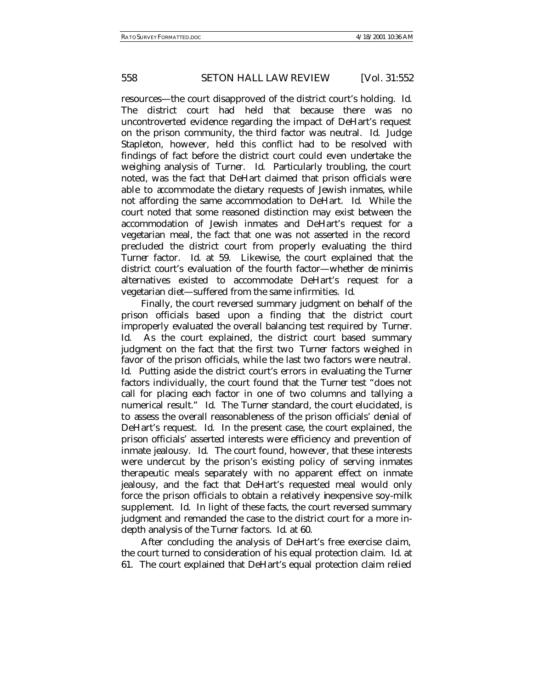# 558 *SETON HALL LAW REVIEW* [Vol. 31:552

resources—the court disapproved of the district court's holding. *Id*. The district court had held that because there was no uncontroverted evidence regarding the impact of DeHart's request on the prison community, the third factor was neutral. *Id*. Judge Stapleton, however, held this conflict had to be resolved with findings of fact before the district court could even undertake the weighing analysis of *Turner*. *Id*. Particularly troubling, the court noted, was the fact that DeHart claimed that prison officials were able to accommodate the dietary requests of Jewish inmates, while not affording the same accommodation to DeHart. *Id*. While the court noted that some reasoned distinction may exist between the accommodation of Jewish inmates and DeHart's request for a vegetarian meal, the fact that one was not asserted in the record precluded the district court from properly evaluating the third *Turner* factor. *Id*. at 59. Likewise, the court explained that the district court's evaluation of the fourth factor—whether *de minimis* alternatives existed to accommodate DeHart's request for a vegetarian diet—suffered from the same infirmities. *Id*.

Finally, the court reversed summary judgment on behalf of the prison officials based upon a finding that the district court improperly evaluated the overall balancing test required by *Turner*. *Id*. As the court explained, the district court based summary judgment on the fact that the first two *Turner* factors weighed in favor of the prison officials, while the last two factors were neutral. *Id*. Putting aside the district court's errors in evaluating the *Turner* factors individually, the court found that the *Turner* test "does not call for placing each factor in one of two columns and tallying a numerical result." *Id*. The *Turner* standard, the court elucidated, is to assess the overall reasonableness of the prison officials' denial of DeHart's request. *Id*. In the present case, the court explained, the prison officials' asserted interests were efficiency and prevention of inmate jealousy. *Id*. The court found, however, that these interests were undercut by the prison's existing policy of serving inmates therapeutic meals separately with no apparent effect on inmate jealousy, and the fact that DeHart's requested meal would only force the prison officials to obtain a relatively inexpensive soy-milk supplement. *Id*. In light of these facts, the court reversed summary judgment and remanded the case to the district court for a more indepth analysis of the *Turner* factors. *Id*. at 60.

After concluding the analysis of DeHart's free exercise claim, the court turned to consideration of his equal protection claim. *Id*. at 61. The court explained that DeHart's equal protection claim relied